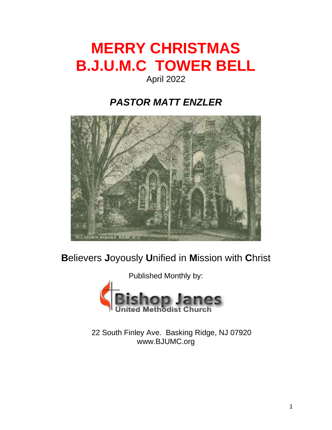# **MERRY CHRISTMAS B.J.U.M.C TOWER BELL**

### April 2022

### *PASTOR MATT ENZLER*



### **B**elievers **J**oyously **U**nified in **M**ission with **C**hrist



22 South Finley Ave. Basking Ridge, NJ 07920 www.BJUMC.org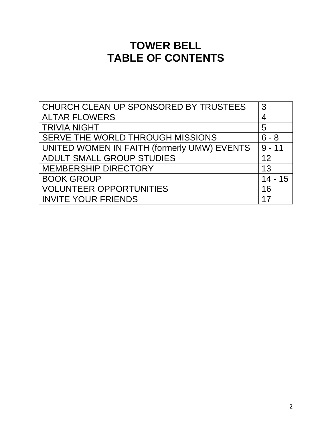### **TOWER BELL TABLE OF CONTENTS**

| CHURCH CLEAN UP SPONSORED BY TRUSTEES       | 3        |
|---------------------------------------------|----------|
| <b>ALTAR FLOWERS</b>                        | 4        |
| <b>TRIVIA NIGHT</b>                         | 5        |
| SERVE THE WORLD THROUGH MISSIONS            | 6<br>- 8 |
| UNITED WOMEN IN FAITH (formerly UMW) EVENTS | $9 - 11$ |
| ADULT SMALL GROUP STUDIES                   | 12       |
| <b>MEMBERSHIP DIRECTORY</b>                 | 13       |
| <b>BOOK GROUP</b>                           | 14 - 15  |
| <b>VOLUNTEER OPPORTUNITIES</b>              | 16       |
| <b>INVITE YOUR FRIENDS</b>                  | 17       |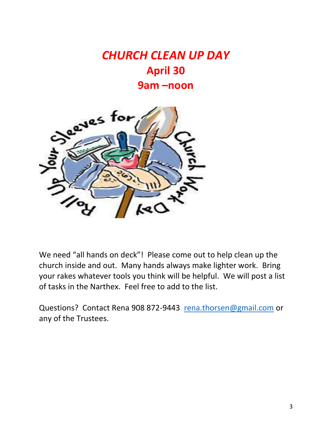## *CHURCH CLEAN UP DAY* **April 30 9am –noon**



We need "all hands on deck"! Please come out to help clean up the church inside and out. Many hands always make lighter work. Bring your rakes whatever tools you think will be helpful. We will post a list of tasks in the Narthex. Feel free to add to the list.

Questions? Contact Rena 908 872-9443 [rena.thorsen@gmail.com](mailto:rena.thorsen@gmail.com) or any of the Trustees.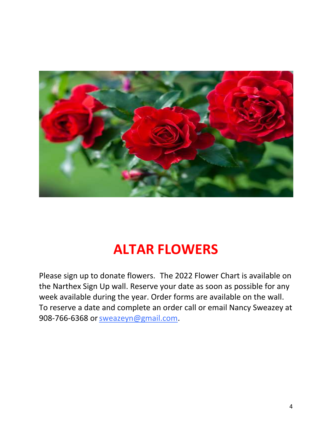

# **ALTAR FLOWERS**

Please sign up to donate flowers. The 2022 Flower Chart is available on the Narthex Sign Up wall. Reserve your date as soon as possible for any week available during the year. Order forms are available on the wall. To reserve a date and complete an order call or email Nancy Sweazey at 908-766-6368 or [sweazeyn@gmail.com.](mailto:sweazeyn@gmail.com)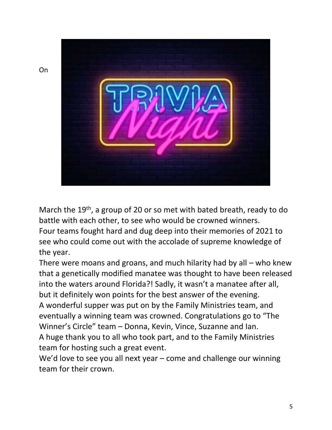

March the 19<sup>th</sup>, a group of 20 or so met with bated breath, ready to do battle with each other, to see who would be crowned winners. Four teams fought hard and dug deep into their memories of 2021 to see who could come out with the accolade of supreme knowledge of the year.

There were moans and groans, and much hilarity had by all – who knew that a genetically modified manatee was thought to have been released into the waters around Florida?! Sadly, it wasn't a manatee after all, but it definitely won points for the best answer of the evening. A wonderful supper was put on by the Family Ministries team, and eventually a winning team was crowned. Congratulations go to "The Winner's Circle" team – Donna, Kevin, Vince, Suzanne and Ian. A huge thank you to all who took part, and to the Family Ministries team for hosting such a great event.

We'd love to see you all next year – come and challenge our winning team for their crown.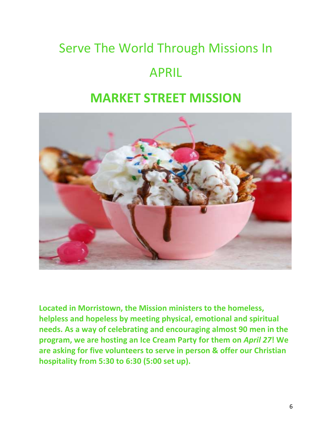# Serve The World Through Missions In APRIL

### **MARKET STREET MISSION**



**Located in Morristown, the Mission ministers to the homeless, helpless and hopeless by meeting physical, emotional and spiritual needs. As a way of celebrating and encouraging almost 90 men in the program, we are hosting an Ice Cream Party for them on** *April 27***! We are asking for five volunteers to serve in person & offer our Christian hospitality from 5:30 to 6:30 (5:00 set up).**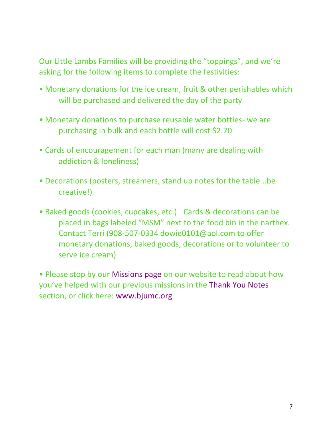Our Little Lambs Families will be providing the "toppings", and we're asking for the following items to complete the festivities:

- Monetary donations for the ice cream, fruit & other perishables which will be purchased and delivered the day of the party
- Monetary donations to purchase reusable water bottles- we are purchasing in bulk and each bottle will cost \$2.70
- Cards of encouragement for each man (many are dealing with addiction & loneliness)
- Decorations (posters, streamers, stand up notes for the table...be creative!)
- Baked goods (cookies, cupcakes, etc.) Cards & decorations can be placed in bags labeled "MSM" next to the food bin in the narthex. Contact Terri (908-507-0334 dowie0101@aol.com to offer monetary donations, baked goods, decorations or to volunteer to serve ice cream)

• Please stop by our Missions page on our website to read about how you've helped with our previous missions in the Thank You Notes section, or click here: www.bjumc.org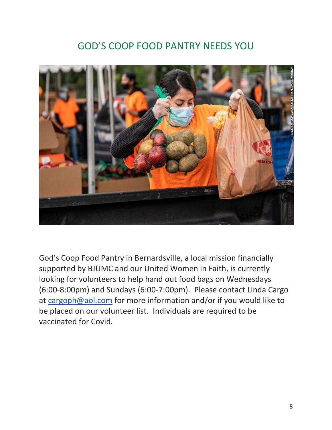### GOD'S COOP FOOD PANTRY NEEDS YOU



God's Coop Food Pantry in Bernardsville, a local mission financially supported by BJUMC and our United Women in Faith, is currently looking for volunteers to help hand out food bags on Wednesdays (6:00-8:00pm) and Sundays (6:00-7:00pm). Please contact Linda Cargo at [cargoph@aol.com](mailto:cargoph@aol.com) for more information and/or if you would like to be placed on our volunteer list. Individuals are required to be vaccinated for Covid.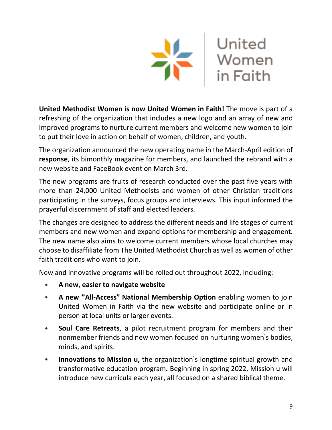

**United Methodist Women is now United Women in Faith!** The move is part of a refreshing of the organization that includes a new logo and an array of new and improved programs to nurture current members and welcome new women to join to put their love in action on behalf of women, children, and youth.

The organization announced the new operating name in the March-April edition of **response**, its bimonthly magazine for members, and launched the rebrand with a new website and FaceBook event on March 3rd.

The new programs are fruits of research conducted over the past five years with more than 24,000 United Methodists and women of other Christian traditions participating in the surveys, focus groups and interviews. This input informed the prayerful discernment of staff and elected leaders.

The changes are designed to address the different needs and life stages of current members and new women and expand options for membership and engagement. The new name also aims to welcome current members whose local churches may choose to disaffiliate from The United Methodist Church as well as women of other faith traditions who want to join.

New and innovative programs will be rolled out throughout 2022, including:

- **• A new, easier to navigate website**
- **• A new "All-Access" National Membership Option** enabling women to join United Women in Faith via the new website and participate online or in person at local units or larger events.
- **• Soul Care Retreats**, a pilot recruitment program for members and their nonmember friends and new women focused on nurturing women's bodies, minds, and spirits.
- **• Innovations to Mission u,** the organization's longtime spiritual growth and transformative education program**.** Beginning in spring 2022, Mission u will introduce new curricula each year, all focused on a shared biblical theme.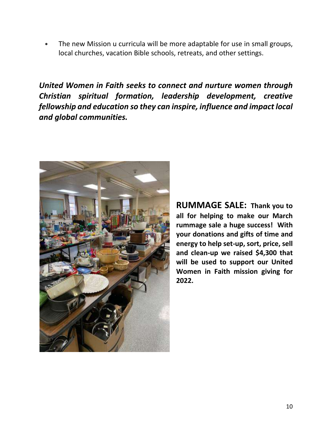**•** The new Mission u curricula will be more adaptable for use in small groups, local churches, vacation Bible schools, retreats, and other settings.

*United Women in Faith seeks to connect and nurture women through Christian spiritual formation, leadership development, creative fellowship and education so they can inspire, influence and impact local and global communities.*



**RUMMAGE SALE: Thank you to all for helping to make our March rummage sale a huge success! With your donations and gifts of time and energy to help set-up, sort, price, sell and clean-up we raised \$4,300 that will be used to support our United Women in Faith mission giving for 2022.**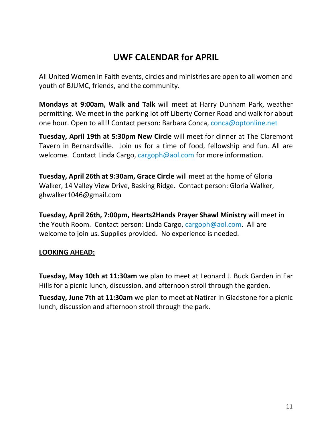### **UWF CALENDAR for APRIL**

All United Women in Faith events, circles and ministries are open to all women and youth of BJUMC, friends, and the community.

**Mondays at 9:00am, Walk and Talk** will meet at Harry Dunham Park, weather permitting. We meet in the parking lot off Liberty Corner Road and walk for about one hour. Open to all!! Contact person: Barbara Conca, [conca@optonline.net](mailto:conca@optonline.net)

**Tuesday, April 19th at 5:30pm New Circle** will meet for dinner at The Claremont Tavern in Bernardsville. Join us for a time of food, fellowship and fun. All are welcome. Contact Linda Cargo, [cargoph@aol.com](mailto:cargoph@aol.com) for more information.

**Tuesday, April 26th at 9:30am, Grace Circle** will meet at the home of Gloria Walker, 14 Valley View Drive, Basking Ridge. Contact person: Gloria Walker, [ghwalker1046@gmail.com](mailto:ghwalker1046@gmail.com)

**Tuesday, April 26th, 7:00pm, Hearts2Hands Prayer Shawl Ministry** will meet in the Youth Room. Contact person: Linda Cargo, [cargoph@aol.com.](mailto:cargoph@aol.com) All are welcome to join us. Supplies provided. No experience is needed.

#### **LOOKING AHEAD:**

**Tuesday, May 10th at 11:30am** we plan to meet at Leonard J. Buck Garden in Far Hills for a picnic lunch, discussion, and afternoon stroll through the garden.

**Tuesday, June 7th at 11:30am** we plan to meet at Natirar in Gladstone for a picnic lunch, discussion and afternoon stroll through the park.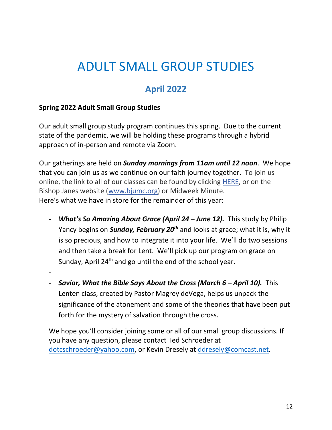# ADULT SMALL GROUP STUDIES

### **April 2022**

#### **Spring 2022 Adult Small Group Studies**

Our adult small group study program continues this spring. Due to the current state of the pandemic, we will be holding these programs through a hybrid approach of in-person and remote via Zoom.

Our gatherings are held on *Sunday mornings from 11am until 12 noon*. We hope that you can join us as we continue on our faith journey together. To join us online, the link to all of our classes can be found by clicking [HERE,](https://r20.rs6.net/tn.jsp?f=001boll5hhlhdC84E8uMEE_DpRahcIHlSoKBOKW7MyunncByFXxaSoJewRTCDcGPr3FyscDGVlwNVXRpI31nizj40Jl0-cUO72b8Iuh3wkqxyyNbCy4OVz97l7END9iFfpnAA284dWcyZkNfCp3sc0ZwmGKwl6U1vf_0tMxxC2j7l1M_TtHiBgdKRLc0c3jIbDldA802g8zmMGDSAzF-lsMpklTHCpWQ8d_&c=FnOc5gK6Js_jAa76RMb__gQHrtqZZwhynDBgfBs7LZr-DQ3RCucF2Q==&ch=vCUNf3rR6MKhsWukfdvwETGqWd8j0j-eAeeuj8mIDrv_3ECi79a38w==) or on the Bishop Janes website [\(www.bjumc.org\)](http://www.bjumc.org/) or Midweek Minute. Here's what we have in store for the remainder of this year:

- *What's So Amazing About Grace (April 24 – June 12).* This study by Philip Yancy begins on *Sunday, February 20th* and looks at grace; what it is, why it is so precious, and how to integrate it into your life. We'll do two sessions and then take a break for Lent. We'll pick up our program on grace on Sunday, April 24<sup>th</sup> and go until the end of the school year.

-

- *Savior, What the Bible Says About the Cross (March 6 – April 10).* This Lenten class, created by Pastor Magrey deVega, helps us unpack the significance of the atonement and some of the theories that have been put forth for the mystery of salvation through the cross.

We hope you'll consider joining some or all of our small group discussions. If you have any question, please contact Ted Schroeder at [dotcschroeder@yahoo.com,](mailto:dotcschroeder@yahoo.com) or Kevin Dresely at [ddresely@comcast.net.](mailto:ddresely@comcast.net)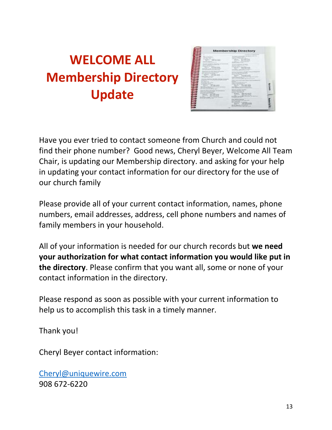# **WELCOME ALL Membership Directory Update**

| <b>Service Advised</b><br>----<br>of the dealership<br>Analysis, String<br>of the party of<br>$-1/2$<br><b>Contract Contract</b>                                                                                                                                                                                                                                       |                                                                                                                                                                                                                                                                                                                                                                                                 | <b>CONTRACTOR</b><br>the property company and the<br>$-$<br>and the company of the first<br>oe<br>a program and the<br>The County<br>$-22.5$<br>www.communication.com<br>and all company is simply<br>and some than the pro-<br>accepts construction of<br>detailed at the Contractor of<br>Art Scotter 1.1<br>money of the market of                                                                                                                                                                                                                                                                                                                                                         |  |
|------------------------------------------------------------------------------------------------------------------------------------------------------------------------------------------------------------------------------------------------------------------------------------------------------------------------------------------------------------------------|-------------------------------------------------------------------------------------------------------------------------------------------------------------------------------------------------------------------------------------------------------------------------------------------------------------------------------------------------------------------------------------------------|-----------------------------------------------------------------------------------------------------------------------------------------------------------------------------------------------------------------------------------------------------------------------------------------------------------------------------------------------------------------------------------------------------------------------------------------------------------------------------------------------------------------------------------------------------------------------------------------------------------------------------------------------------------------------------------------------|--|
| <b>Contractor</b><br>the attended the handship<br>the property of the property of<br>discussion of the course.<br>and the control of the product of the<br>Analysis and when Princess.<br>able advanced developed in court 11.<br>an expert of posterior registration and<br>and the country of the co-<br>17. Three Roads ages 111<br>and the state of the field of a | and the property states and<br>Lost Contemporary and the Holey Control<br>the committee by twenty the<br>$-200$<br>Southern Robert and America, Andrew Aren<br>Constitution of the format market and was changed<br>Star Million of the American<br>Thomas - Allin Alla Allin<br><b>SECTION REPORT</b><br>British County and American County and the American<br>Shipman - ships shall children | <u>, and eng</u><br>and considered to the print of the local<br>The country of the country of the country<br>A direct that postered to detailed<br><b>The Tunner</b><br>tioned democrating. Furnished Print,<br>Copyright Continued and Copyright Control of<br>the air comments as a first state<br>_____<br>arter was a tracked<br><b>Staglington Controllers</b><br>the property of the control of the control of<br>the party of the property state of the property<br>the party of the party and the<br>There III BEEN<br>and company the next in Chinesens<br>the R. Commercials Advised Stratification of Colorado<br>the product of the control of the control of<br><b>The Brown</b> |  |
| ē<br>the time and chancer that the con-                                                                                                                                                                                                                                                                                                                                | common. which have been<br>the property of the control of the<br>Secondary and State And State                                                                                                                                                                                                                                                                                                  | <b>Controller Controller Controller Controller</b><br>the fact of the state state.<br>and the property of the con-<br>the factory design to<br>the age of the local competition of the property<br>and printed as Law  It is<br>- Wranger - Exil \$300 from<br>The party of the control of the first<br>dealer demonstrated and production.                                                                                                                                                                                                                                                                                                                                                   |  |

Have you ever tried to contact someone from Church and could not find their phone number? Good news, Cheryl Beyer, Welcome All Team Chair, is updating our Membership directory. and asking for your help in updating your contact information for our directory for the use of our church family

Please provide all of your current contact information, names, phone numbers, email addresses, address, cell phone numbers and names of family members in your household.

All of your information is needed for our church records but **we need your authorization for what contact information you would like put in the directory**. Please confirm that you want all, some or none of your contact information in the directory.

Please respond as soon as possible with your current information to help us to accomplish this task in a timely manner.

Thank you!

Cheryl Beyer contact information:

[Cheryl@uniquewire.com](mailto:Cheryl@uniquewire.com) 908 672-6220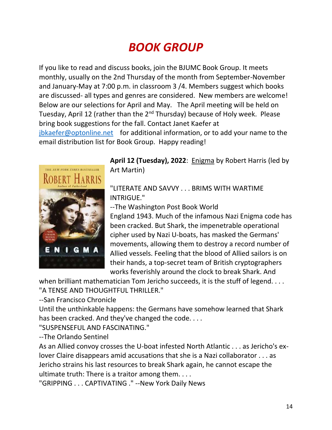## *BOOK GROUP*

If you like to read and discuss books, join the BJUMC Book Group. It meets monthly, usually on the 2nd Thursday of the month from September-November and January-May at 7:00 p.m. in classroom 3 /4. Members suggest which books are discussed- all types and genres are considered. New members are welcome! Below are our selections for April and May. The April meeting will be held on Tuesday, April 12 (rather than the 2<sup>nd</sup> Thursday) because of Holy week. Please bring book suggestions for the fall. Contact Janet Kaefer at [jbkaefer@optonline.net](mailto:jbkaefer@optonline.net) for additional information, or to add your name to the email distribution list for Book Group. Happy reading!



**April 12 (Tuesday), 2022**: Enigma by Robert Harris (led by Art Martin)

#### "LITERATE AND SAVVY . . . BRIMS WITH WARTIME INTRIGUE."

--The Washington Post Book World

England 1943. Much of the infamous Nazi Enigma code has been cracked. But Shark, the impenetrable operational cipher used by Nazi U-boats, has masked the Germans' movements, allowing them to destroy a record number of Allied vessels. Feeling that the blood of Allied sailors is on their hands, a top-secret team of British cryptographers works feverishly around the clock to break Shark. And

when brilliant mathematician Tom Jericho succeeds, it is the stuff of legend. . . . "A TENSE AND THOUGHTEUL THRILLER."

--San Francisco Chronicle

Until the unthinkable happens: the Germans have somehow learned that Shark has been cracked. And they've changed the code. . . .

"SUSPENSEFUL AND FASCINATING."

--The Orlando Sentinel

As an Allied convoy crosses the U-boat infested North Atlantic . . . as Jericho's exlover Claire disappears amid accusations that she is a Nazi collaborator . . . as Jericho strains his last resources to break Shark again, he cannot escape the ultimate truth: There is a traitor among them. . . .

"GRIPPING . . . CAPTIVATING ." --New York Daily News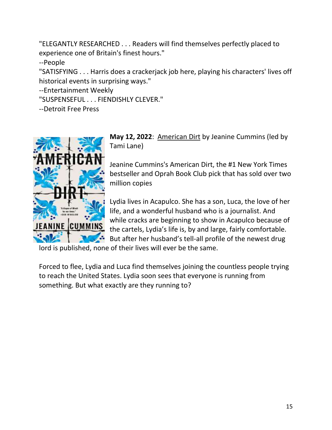"ELEGANTLY RESEARCHED . . . Readers will find themselves perfectly placed to experience one of Britain's finest hours."

--People

"SATISFYING . . . Harris does a crackerjack job here, playing his characters' lives off historical events in surprising ways."

--Entertainment Weekly

"SUSPENSEFUL . . . FIENDISHLY CLEVER."

--Detroit Free Press



**May 12, 2022**: American Dirt by Jeanine Cummins (led by Tami Lane)

Jeanine Cummins's American Dirt, the #1 New York Times bestseller and Oprah Book Club pick that has sold over two million copies

Lydia lives in Acapulco. She has a son, Luca, the love of her life, and a wonderful husband who is a journalist. And while cracks are beginning to show in Acapulco because of the cartels, Lydia's life is, by and large, fairly comfortable. But after her husband's tell-all profile of the newest drug

lord is published, none of their lives will ever be the same.

Forced to flee, Lydia and Luca find themselves joining the countless people trying to reach the United States. Lydia soon sees that everyone is running from something. But what exactly are they running to?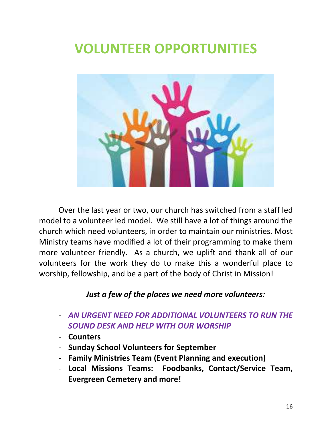# **VOLUNTEER OPPORTUNITIES**



Over the last year or two, our church has switched from a staff led model to a volunteer led model. We still have a lot of things around the church which need volunteers, in order to maintain our ministries. Most Ministry teams have modified a lot of their programming to make them more volunteer friendly. As a church, we uplift and thank all of our volunteers for the work they do to make this a wonderful place to worship, fellowship, and be a part of the body of Christ in Mission!

#### *Just a few of the places we need more volunteers:*

- *AN URGENT NEED FOR ADDITIONAL VOLUNTEERS TO RUN THE SOUND DESK AND HELP WITH OUR WORSHIP*
- **Counters**
- **Sunday School Volunteers for September**
- **Family Ministries Team (Event Planning and execution)**
- **Local Missions Teams: Foodbanks, Contact/Service Team, Evergreen Cemetery and more!**